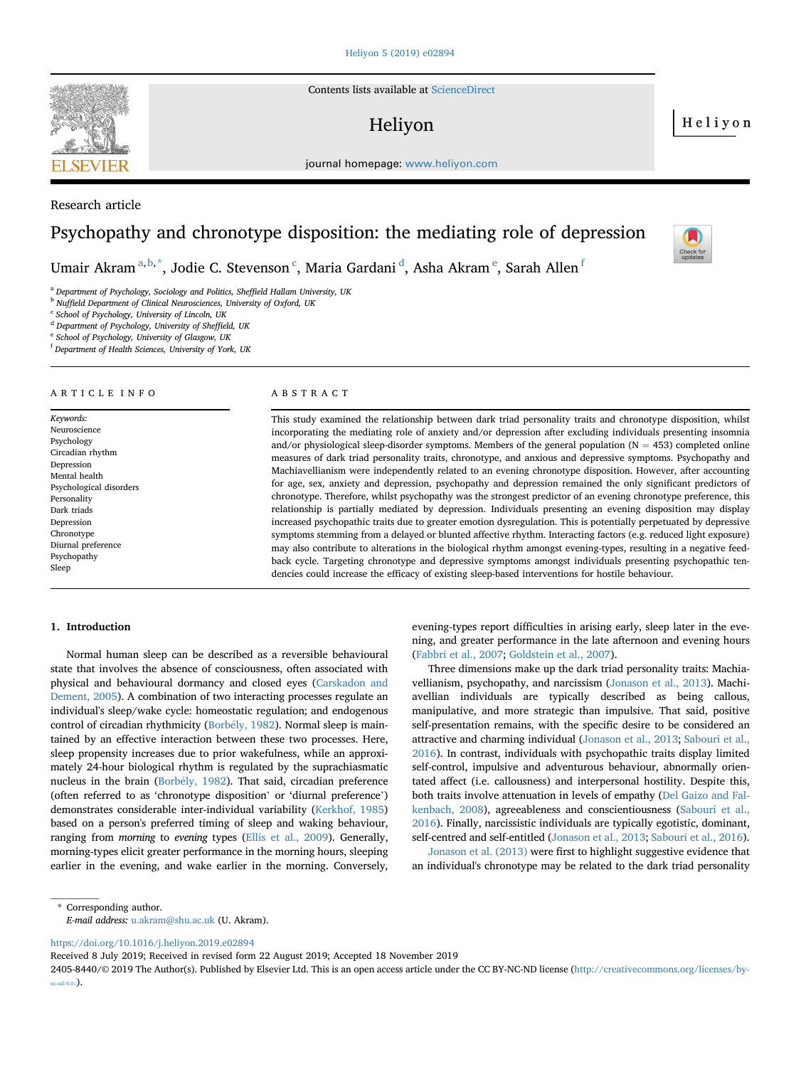

Research article

Contents lists available at [ScienceDirect](www.sciencedirect.com/science/journal/24058440)

## Heliyon

Heliyon

journal homepage: <www.heliyon.com>

# Psychopathy and chronotype disposition: the mediating role of depression

Umair Akram $^{\mathrm{a,b,*}},$  Jodie C. Stevenson $^{\mathrm{c}},$  Maria Gardani $^{\mathrm{d}},$  Asha Akram $^{\mathrm{e}},$  Sarah Allen $^{\mathrm{f}}$ 

<sup>a</sup> Department of Psychology, Sociology and Politics, Sheffield Hallam University, UK

<sup>b</sup> Nuffield Department of Clinical Neurosciences, University of Oxford, UK

<sup>c</sup> School of Psychology, University of Lincoln, UK

<sup>d</sup> Department of Psychology, University of Sheffield, UK

<sup>e</sup> School of Psychology, University of Glasgow, UK

<sup>f</sup> Department of Health Sciences, University of York, UK

### ARTICLE INFO

Keywords: Neuroscience Psychology Circadian rhythm Depression Mental health Psychological disorders Personality Dark triads Depression Chronotype Diurnal preference Psychopathy Sleep

#### ABSTRACT

This study examined the relationship between dark triad personality traits and chronotype disposition, whilst incorporating the mediating role of anxiety and/or depression after excluding individuals presenting insomnia and/or physiological sleep-disorder symptoms. Members of the general population  $(N = 453)$  completed online measures of dark triad personality traits, chronotype, and anxious and depressive symptoms. Psychopathy and Machiavellianism were independently related to an evening chronotype disposition. However, after accounting for age, sex, anxiety and depression, psychopathy and depression remained the only significant predictors of chronotype. Therefore, whilst psychopathy was the strongest predictor of an evening chronotype preference, this relationship is partially mediated by depression. Individuals presenting an evening disposition may display increased psychopathic traits due to greater emotion dysregulation. This is potentially perpetuated by depressive symptoms stemming from a delayed or blunted affective rhythm. Interacting factors (e.g. reduced light exposure) may also contribute to alterations in the biological rhythm amongst evening-types, resulting in a negative feedback cycle. Targeting chronotype and depressive symptoms amongst individuals presenting psychopathic tendencies could increase the efficacy of existing sleep-based interventions for hostile behaviour.

#### 1. Introduction

Normal human sleep can be described as a reversible behavioural state that involves the absence of consciousness, often associated with physical and behavioural dormancy and closed eyes [\(Carskadon and](#page-4-0) [Dement, 2005](#page-4-0)). A combination of two interacting processes regulate an individual's sleep/wake cycle: homeostatic regulation; and endogenous control of circadian rhythmicity ([Borb](#page-4-0)ély, 1982). Normal sleep is maintained by an effective interaction between these two processes. Here, sleep propensity increases due to prior wakefulness, while an approximately 24-hour biological rhythm is regulated by the suprachiasmatic nucleus in the brain ([Borb](#page-4-0)ély, 1982). That said, circadian preference (often referred to as 'chronotype disposition' or 'diurnal preference') demonstrates considerable inter-individual variability ([Kerkhof, 1985\)](#page-4-0) based on a person's preferred timing of sleep and waking behaviour, ranging from *morning* to evening types ([Ellis et al., 2009](#page-4-0)). Generally, morning-types elicit greater performance in the morning hours, sleeping earlier in the evening, and wake earlier in the morning. Conversely,

evening-types report difficulties in arising early, sleep later in the evening, and greater performance in the late afternoon and evening hours ([Fabbri et al., 2007](#page-4-0); [Goldstein et al., 2007](#page-4-0)).

Three dimensions make up the dark triad personality traits: Machiavellianism, psychopathy, and narcissism ([Jonason et al., 2013\)](#page-4-0). Machiavellian individuals are typically described as being callous, manipulative, and more strategic than impulsive. That said, positive self-presentation remains, with the specific desire to be considered an attractive and charming individual ([Jonason et al., 2013](#page-4-0); [Sabouri et al.,](#page-4-0) [2016\)](#page-4-0). In contrast, individuals with psychopathic traits display limited self-control, impulsive and adventurous behaviour, abnormally orientated affect (i.e. callousness) and interpersonal hostility. Despite this, both traits involve attenuation in levels of empathy ([Del Gaizo and Fal](#page-4-0)[kenbach, 2008\)](#page-4-0), agreeableness and conscientiousness [\(Sabouri et al.,](#page-4-0) [2016\)](#page-4-0). Finally, narcissistic individuals are typically egotistic, dominant, self-centred and self-entitled [\(Jonason et al., 2013](#page-4-0); [Sabouri et al., 2016\)](#page-4-0).

[Jonason et al. \(2013\)](#page-4-0) were first to highlight suggestive evidence that an individual's chronotype may be related to the dark triad personality

\* Corresponding author.

E-mail address: [u.akram@shu.ac.uk](mailto:u.akram@shu.ac.uk) (U. Akram).

<https://doi.org/10.1016/j.heliyon.2019.e02894>

Received 8 July 2019; Received in revised form 22 August 2019; Accepted 18 November 2019

2405-8440/© 2019 The Author(s). Published by Elsevier Ltd. This is an open access article under the CC BY-NC-ND license [\(http://creativecommons.org/licenses/by](http://creativecommons.org/licenses/by-nc-nd/4.0/) $nc\text{-nd/4.0}/$ ).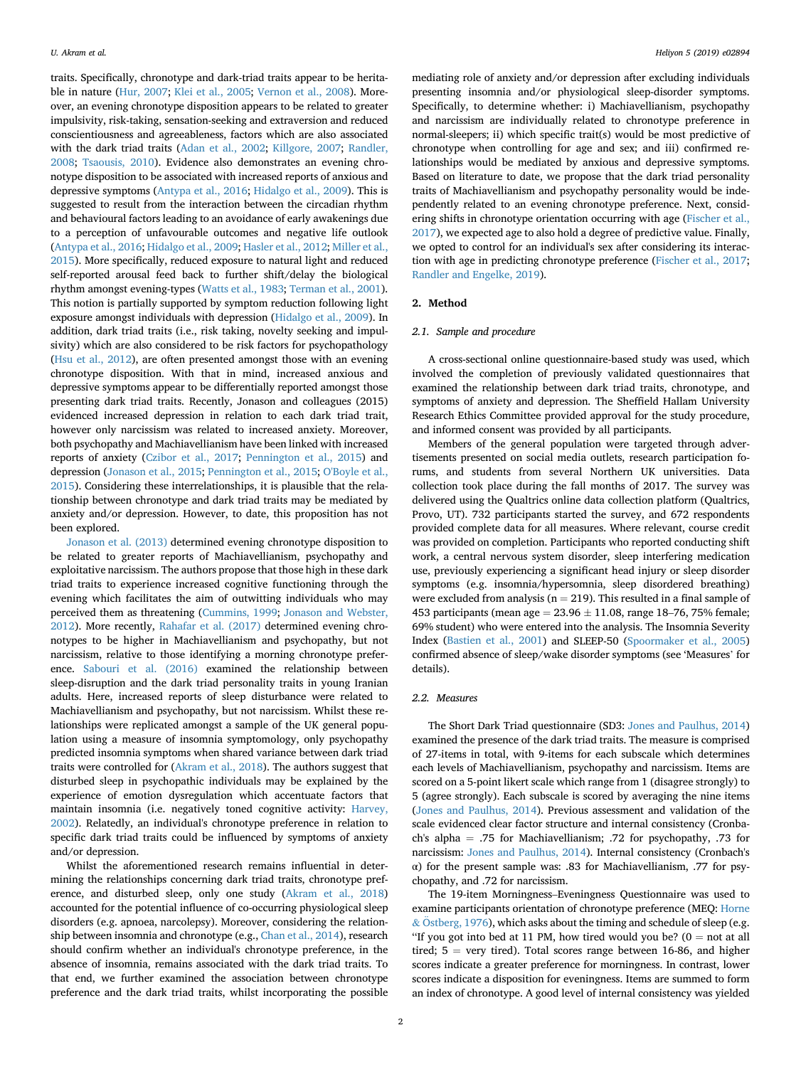traits. Specifically, chronotype and dark-triad traits appear to be heritable in nature ([Hur, 2007;](#page-4-0) [Klei et al., 2005;](#page-4-0) [Vernon et al., 2008](#page-4-0)). Moreover, an evening chronotype disposition appears to be related to greater impulsivity, risk-taking, sensation-seeking and extraversion and reduced conscientiousness and agreeableness, factors which are also associated with the dark triad traits [\(Adan et al., 2002](#page-4-0); [Killgore, 2007;](#page-4-0) [Randler,](#page-4-0) [2008;](#page-4-0) [Tsaousis, 2010\)](#page-4-0). Evidence also demonstrates an evening chronotype disposition to be associated with increased reports of anxious and depressive symptoms ([Antypa et al., 2016](#page-4-0); [Hidalgo et al., 2009](#page-4-0)). This is suggested to result from the interaction between the circadian rhythm and behavioural factors leading to an avoidance of early awakenings due to a perception of unfavourable outcomes and negative life outlook ([Antypa et al., 2016;](#page-4-0) [Hidalgo et al., 2009](#page-4-0); [Hasler et al., 2012](#page-4-0); [Miller et al.,](#page-4-0) [2015\)](#page-4-0). More specifically, reduced exposure to natural light and reduced self-reported arousal feed back to further shift/delay the biological rhythm amongst evening-types [\(Watts et al., 1983](#page-5-0); [Terman et al., 2001\)](#page-4-0). This notion is partially supported by symptom reduction following light exposure amongst individuals with depression ([Hidalgo et al., 2009](#page-4-0)). In addition, dark triad traits (i.e., risk taking, novelty seeking and impulsivity) which are also considered to be risk factors for psychopathology ([Hsu et al., 2012\)](#page-4-0), are often presented amongst those with an evening chronotype disposition. With that in mind, increased anxious and depressive symptoms appear to be differentially reported amongst those presenting dark triad traits. Recently, Jonason and colleagues (2015) evidenced increased depression in relation to each dark triad trait, however only narcissism was related to increased anxiety. Moreover, both psychopathy and Machiavellianism have been linked with increased reports of anxiety ([Czibor et al., 2017](#page-4-0); [Pennington et al., 2015](#page-4-0)) and depression ([Jonason et al., 2015](#page-4-0); [Pennington et al., 2015](#page-4-0); [O'Boyle et al.,](#page-4-0) [2015\)](#page-4-0). Considering these interrelationships, it is plausible that the relationship between chronotype and dark triad traits may be mediated by anxiety and/or depression. However, to date, this proposition has not been explored.

[Jonason et al. \(2013\)](#page-4-0) determined evening chronotype disposition to be related to greater reports of Machiavellianism, psychopathy and exploitative narcissism. The authors propose that those high in these dark triad traits to experience increased cognitive functioning through the evening which facilitates the aim of outwitting individuals who may perceived them as threatening ([Cummins, 1999](#page-4-0); [Jonason and Webster,](#page-4-0) [2012\)](#page-4-0). More recently, [Rahafar et al. \(2017\)](#page-4-0) determined evening chronotypes to be higher in Machiavellianism and psychopathy, but not narcissism, relative to those identifying a morning chronotype preference. [Sabouri et al. \(2016\)](#page-4-0) examined the relationship between sleep-disruption and the dark triad personality traits in young Iranian adults. Here, increased reports of sleep disturbance were related to Machiavellianism and psychopathy, but not narcissism. Whilst these relationships were replicated amongst a sample of the UK general population using a measure of insomnia symptomology, only psychopathy predicted insomnia symptoms when shared variance between dark triad traits were controlled for [\(Akram et al., 2018](#page-4-0)). The authors suggest that disturbed sleep in psychopathic individuals may be explained by the experience of emotion dysregulation which accentuate factors that maintain insomnia (i.e. negatively toned cognitive activity: [Harvey,](#page-4-0) [2002\)](#page-4-0). Relatedly, an individual's chronotype preference in relation to specific dark triad traits could be influenced by symptoms of anxiety and/or depression.

Whilst the aforementioned research remains influential in determining the relationships concerning dark triad traits, chronotype preference, and disturbed sleep, only one study ([Akram et al., 2018\)](#page-4-0) accounted for the potential influence of co-occurring physiological sleep disorders (e.g. apnoea, narcolepsy). Moreover, considering the relationship between insomnia and chronotype (e.g., [Chan et al., 2014\)](#page-4-0), research should confirm whether an individual's chronotype preference, in the absence of insomnia, remains associated with the dark triad traits. To that end, we further examined the association between chronotype preference and the dark triad traits, whilst incorporating the possible

mediating role of anxiety and/or depression after excluding individuals presenting insomnia and/or physiological sleep-disorder symptoms. Specifically, to determine whether: i) Machiavellianism, psychopathy and narcissism are individually related to chronotype preference in normal-sleepers; ii) which specific trait(s) would be most predictive of chronotype when controlling for age and sex; and iii) confirmed relationships would be mediated by anxious and depressive symptoms. Based on literature to date, we propose that the dark triad personality traits of Machiavellianism and psychopathy personality would be independently related to an evening chronotype preference. Next, considering shifts in chronotype orientation occurring with age ([Fischer et al.,](#page-4-0) [2017\)](#page-4-0), we expected age to also hold a degree of predictive value. Finally, we opted to control for an individual's sex after considering its interaction with age in predicting chronotype preference ([Fischer et al., 2017;](#page-4-0) [Randler and Engelke, 2019](#page-4-0)).

#### 2. Method

#### 2.1. Sample and procedure

A cross-sectional online questionnaire-based study was used, which involved the completion of previously validated questionnaires that examined the relationship between dark triad traits, chronotype, and symptoms of anxiety and depression. The Sheffield Hallam University Research Ethics Committee provided approval for the study procedure, and informed consent was provided by all participants.

Members of the general population were targeted through advertisements presented on social media outlets, research participation forums, and students from several Northern UK universities. Data collection took place during the fall months of 2017. The survey was delivered using the Qualtrics online data collection platform (Qualtrics, Provo, UT). 732 participants started the survey, and 672 respondents provided complete data for all measures. Where relevant, course credit was provided on completion. Participants who reported conducting shift work, a central nervous system disorder, sleep interfering medication use, previously experiencing a significant head injury or sleep disorder symptoms (e.g. insomnia/hypersomnia, sleep disordered breathing) were excluded from analysis ( $n = 219$ ). This resulted in a final sample of 453 participants (mean age  $= 23.96 \pm 11.08$ , range 18–76, 75% female; 69% student) who were entered into the analysis. The Insomnia Severity Index ([Bastien et al., 2001\)](#page-4-0) and SLEEP-50 ([Spoormaker et al., 2005\)](#page-4-0) confirmed absence of sleep/wake disorder symptoms (see 'Measures' for details).

#### 2.2. Measures

The Short Dark Triad questionnaire (SD3: [Jones and Paulhus, 2014\)](#page-4-0) examined the presence of the dark triad traits. The measure is comprised of 27-items in total, with 9-items for each subscale which determines each levels of Machiavellianism, psychopathy and narcissism. Items are scored on a 5-point likert scale which range from 1 (disagree strongly) to 5 (agree strongly). Each subscale is scored by averaging the nine items ([Jones and Paulhus, 2014](#page-4-0)). Previous assessment and validation of the scale evidenced clear factor structure and internal consistency (Cronbach's alpha = .75 for Machiavellianism; .72 for psychopathy, .73 for narcissism: [Jones and Paulhus, 2014](#page-4-0)). Internal consistency (Cronbach's α) for the present sample was: .83 for Machiavellianism, .77 for psychopathy, and .72 for narcissism.

The 19-item Morningness–Eveningness Questionnaire was used to examine participants orientation of chronotype preference (MEQ: [Horne](#page-4-0)  $&$  Östberg, 1976), which asks about the timing and schedule of sleep (e.g. "If you got into bed at 11 PM, how tired would you be? ( $0 =$  not at all tired;  $5 = \text{very tired}$ ). Total scores range between 16-86, and higher scores indicate a greater preference for morningness. In contrast, lower scores indicate a disposition for eveningness. Items are summed to form an index of chronotype. A good level of internal consistency was yielded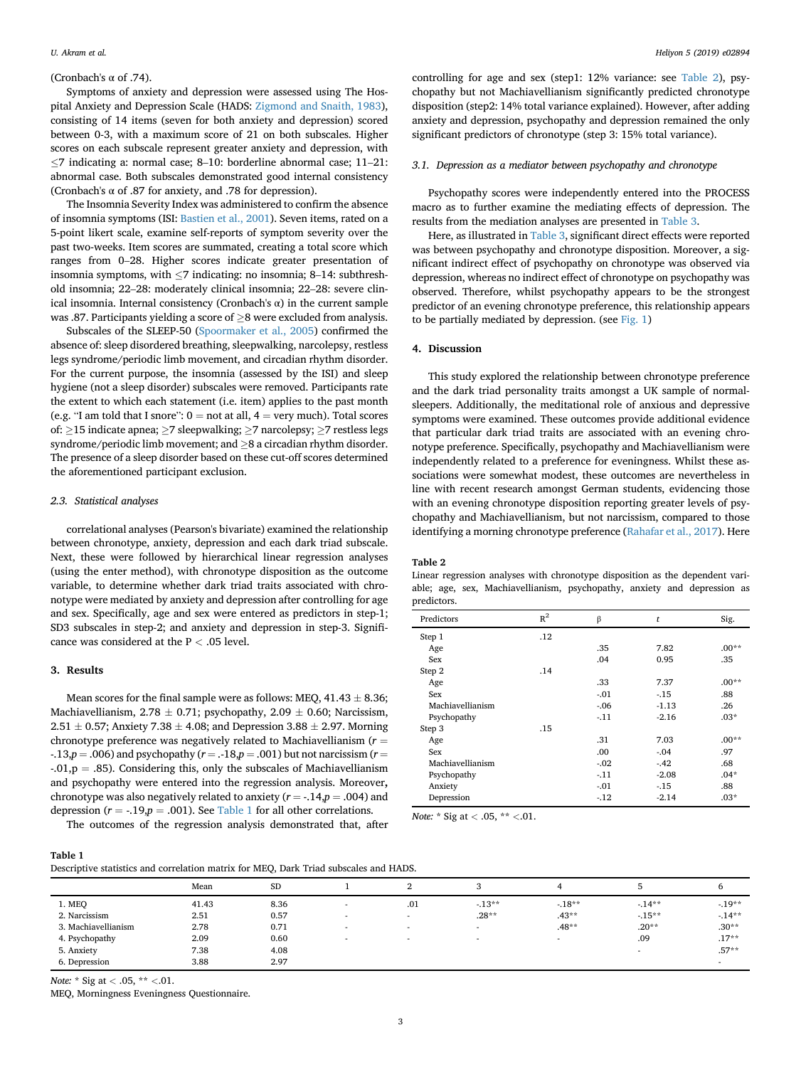#### (Cronbach's α of .74).

Symptoms of anxiety and depression were assessed using The Hospital Anxiety and Depression Scale (HADS: [Zigmond and Snaith, 1983\)](#page-5-0), consisting of 14 items (seven for both anxiety and depression) scored between 0-3, with a maximum score of 21 on both subscales. Higher scores on each subscale represent greater anxiety and depression, with  $\leq$ 7 indicating a: normal case; 8–10: borderline abnormal case; 11–21: abnormal case. Both subscales demonstrated good internal consistency (Cronbach's α of .87 for anxiety, and .78 for depression).

The Insomnia Severity Index was administered to confirm the absence of insomnia symptoms (ISI: [Bastien et al., 2001\)](#page-4-0). Seven items, rated on a 5-point likert scale, examine self-reports of symptom severity over the past two-weeks. Item scores are summated, creating a total score which ranges from 0–28. Higher scores indicate greater presentation of insomnia symptoms, with  $\leq$ 7 indicating: no insomnia; 8–14: subthreshold insomnia; 22–28: moderately clinical insomnia; 22–28: severe clinical insomnia. Internal consistency (Cronbach's α) in the current sample was .87. Participants yielding a score of  $>8$  were excluded from analysis.

Subscales of the SLEEP-50 [\(Spoormaker et al., 2005\)](#page-4-0) confirmed the absence of: sleep disordered breathing, sleepwalking, narcolepsy, restless legs syndrome/periodic limb movement, and circadian rhythm disorder. For the current purpose, the insomnia (assessed by the ISI) and sleep hygiene (not a sleep disorder) subscales were removed. Participants rate the extent to which each statement (i.e. item) applies to the past month (e.g. "I am told that I snore":  $0 = not$  at all,  $4 = very$  much). Total scores of:  $\geq$ 15 indicate apnea;  $\geq$ 7 sleepwalking;  $\geq$ 7 narcolepsy;  $\geq$ 7 restless legs syndrome/periodic limb movement; and  $\geq$ 8 a circadian rhythm disorder. The presence of a sleep disorder based on these cut-off scores determined the aforementioned participant exclusion.

#### 2.3. Statistical analyses

correlational analyses (Pearson's bivariate) examined the relationship between chronotype, anxiety, depression and each dark triad subscale. Next, these were followed by hierarchical linear regression analyses (using the enter method), with chronotype disposition as the outcome variable, to determine whether dark triad traits associated with chronotype were mediated by anxiety and depression after controlling for age and sex. Specifically, age and sex were entered as predictors in step-1; SD3 subscales in step-2; and anxiety and depression in step-3. Significance was considered at the  $P < .05$  level.

#### 3. Results

Mean scores for the final sample were as follows: MEQ,  $41.43 \pm 8.36;$ Machiavellianism,  $2.78 \pm 0.71$ ; psychopathy,  $2.09 \pm 0.60$ ; Narcissism,  $2.51 \pm 0.57$ ; Anxiety  $7.38 \pm 4.08$ ; and Depression  $3.88 \pm 2.97$ . Morning chronotype preference was negatively related to Machiavellianism ( $r =$  $-13$ ,  $p = .006$ ) and psychopathy ( $r = .18$ , $p = .001$ ) but not narcissism ( $r =$  $-0.01$ ,  $p = .85$ ). Considering this, only the subscales of Machiavellianism and psychopathy were entered into the regression analysis. Moreover, chronotype was also negatively related to anxiety ( $r = -0.14$ ,  $p = 0.004$ ) and depression ( $r = -.19, p = .001$ ). See Table 1 for all other correlations.

The outcomes of the regression analysis demonstrated that, after

controlling for age and sex (step1: 12% variance: see Table 2), psychopathy but not Machiavellianism significantly predicted chronotype disposition (step2: 14% total variance explained). However, after adding anxiety and depression, psychopathy and depression remained the only significant predictors of chronotype (step 3: 15% total variance).

#### 3.1. Depression as a mediator between psychopathy and chronotype

Psychopathy scores were independently entered into the PROCESS macro as to further examine the mediating effects of depression. The results from the mediation analyses are presented in [Table 3](#page-3-0).

Here, as illustrated in [Table 3](#page-3-0), significant direct effects were reported was between psychopathy and chronotype disposition. Moreover, a significant indirect effect of psychopathy on chronotype was observed via depression, whereas no indirect effect of chronotype on psychopathy was observed. Therefore, whilst psychopathy appears to be the strongest predictor of an evening chronotype preference, this relationship appears to be partially mediated by depression. (see [Fig. 1\)](#page-3-0)

#### 4. Discussion

This study explored the relationship between chronotype preference and the dark triad personality traits amongst a UK sample of normalsleepers. Additionally, the meditational role of anxious and depressive symptoms were examined. These outcomes provide additional evidence that particular dark triad traits are associated with an evening chronotype preference. Specifically, psychopathy and Machiavellianism were independently related to a preference for eveningness. Whilst these associations were somewhat modest, these outcomes are nevertheless in line with recent research amongst German students, evidencing those with an evening chronotype disposition reporting greater levels of psychopathy and Machiavellianism, but not narcissism, compared to those identifying a morning chronotype preference [\(Rahafar et al., 2017\)](#page-4-0). Here

#### Table 2

Linear regression analyses with chronotype disposition as the dependent variable; age, sex, Machiavellianism, psychopathy, anxiety and depression as predictors.

| Predictors       | $R^2$ | β      | t       | Sig.    |
|------------------|-------|--------|---------|---------|
| Step 1           | .12   |        |         |         |
| Age              |       | .35    | 7.82    | $.00**$ |
| Sex              |       | .04    | 0.95    | .35     |
| Step 2           | .14   |        |         |         |
| Age              |       | .33    | 7.37    | $.00**$ |
| Sex              |       | $-.01$ | $-15$   | .88     |
| Machiavellianism |       | $-.06$ | $-1.13$ | .26     |
| Psychopathy      |       | $-.11$ | $-2.16$ | $.03*$  |
| Step 3           | .15   |        |         |         |
| Age              |       | .31    | 7.03    | $.00**$ |
| Sex              |       | .00    | $-.04$  | .97     |
| Machiavellianism |       | $-.02$ | $-.42$  | .68     |
| Psychopathy      |       | $-11$  | $-2.08$ | $.04*$  |
| Anxiety          |       | $-.01$ | $-15$   | .88     |
| Depression       |       | $-12$  | $-2.14$ | $.03*$  |
|                  |       |        |         |         |

Note: \* Sig at < .05, \*\* <.01.

criptive statistics and correlation matrix for MEO, Dark Triad subscales and HADS.

|                     | Mean  | <b>SD</b> |   | ▵                        |                          |                          |         |         |
|---------------------|-------|-----------|---|--------------------------|--------------------------|--------------------------|---------|---------|
| 1. MEO              | 41.43 | 8.36      | - | .01                      | $-13**$                  | $-18**$                  | $-14**$ | $-19**$ |
| 2. Narcissism       | 2.51  | 0.57      |   | $\overline{\phantom{a}}$ | $.28**$                  | $.43**$                  | $-15**$ | $-14**$ |
| 3. Machiavellianism | 2.78  | 0.71      |   | $\overline{\phantom{a}}$ |                          | $.48**$                  | $.20**$ | $.30**$ |
| 4. Psychopathy      | 2.09  | 0.60      |   | $\overline{\phantom{a}}$ | $\overline{\phantom{a}}$ | $\overline{\phantom{a}}$ | .09     | $.17**$ |
| 5. Anxiety          | 7.38  | 4.08      |   |                          |                          |                          |         | $.57**$ |
| 6. Depression       | 3.88  | 2.97      |   |                          |                          |                          |         |         |

Note:  $*$  Sig at < .05,  $**$  <.01.

MEQ, Morningness Eveningness Questionnaire.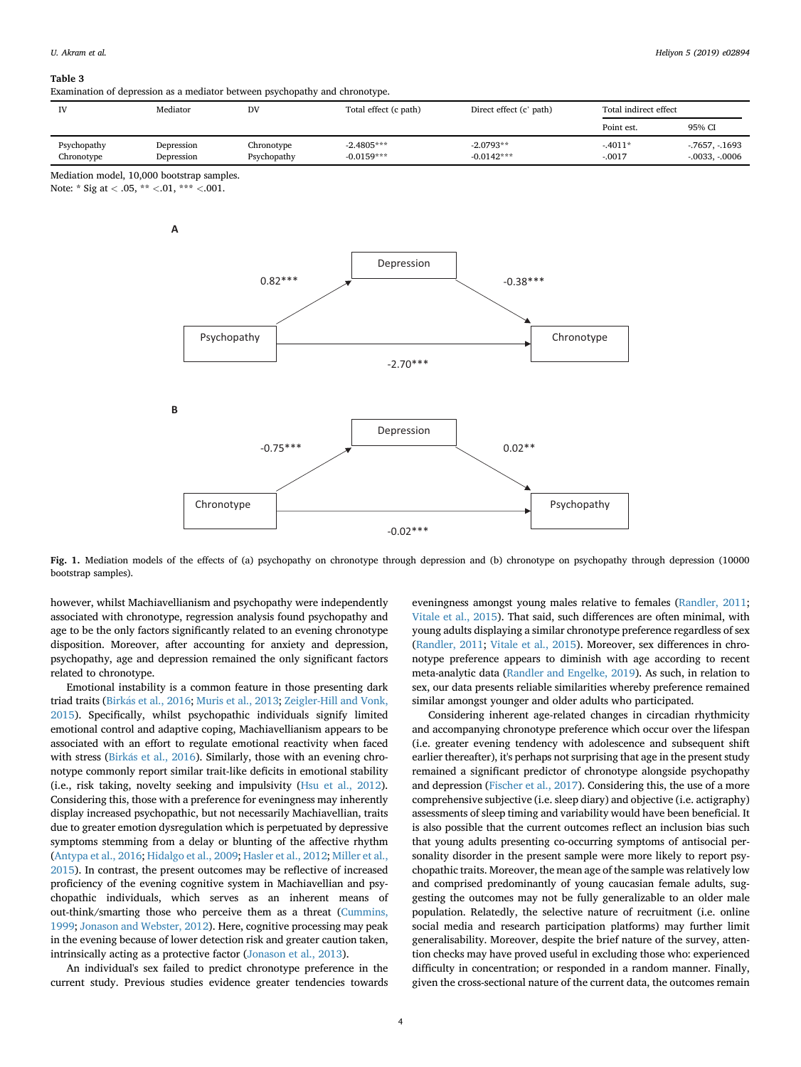#### <span id="page-3-0"></span>Table 3

Examination of depression as a mediator between psychopathy and chronotype.

| IV                        | Mediator                 | DV                        | Total effect (c path)        | Direct effect (c' path)     | Total indirect effect |                                      |
|---------------------------|--------------------------|---------------------------|------------------------------|-----------------------------|-----------------------|--------------------------------------|
|                           |                          |                           |                              |                             | Point est.            | 95% CI                               |
| Psychopathy<br>Chronotype | Depression<br>Depression | Chronotype<br>Psychopathy | $-2.4805***$<br>$-0.0159***$ | $-2.0793**$<br>$-0.0142***$ | $-4011*$<br>$-.0017$  | $-7657, -1693$<br>$-0.0033, -0.0006$ |

Mediation model, 10,000 bootstrap samples.

Note: \* Sig at < .05, \*\* <.01, \*\*\* <.001.



Fig. 1. Mediation models of the effects of (a) psychopathy on chronotype through depression and (b) chronotype on psychopathy through depression (10000 bootstrap samples).

however, whilst Machiavellianism and psychopathy were independently associated with chronotype, regression analysis found psychopathy and age to be the only factors significantly related to an evening chronotype disposition. Moreover, after accounting for anxiety and depression, psychopathy, age and depression remained the only significant factors related to chronotype.

Emotional instability is a common feature in those presenting dark triad traits [\(Birk](#page-4-0)á[s et al., 2016;](#page-4-0) [Muris et al., 2013](#page-4-0); [Zeigler-Hill and Vonk,](#page-5-0) [2015\)](#page-5-0). Specifically, whilst psychopathic individuals signify limited emotional control and adaptive coping, Machiavellianism appears to be associated with an effort to regulate emotional reactivity when faced with stress ([Birk](#page-4-0)ás et al., 2016). Similarly, those with an evening chronotype commonly report similar trait-like deficits in emotional stability (i.e., risk taking, novelty seeking and impulsivity ([Hsu et al., 2012\)](#page-4-0). Considering this, those with a preference for eveningness may inherently display increased psychopathic, but not necessarily Machiavellian, traits due to greater emotion dysregulation which is perpetuated by depressive symptoms stemming from a delay or blunting of the affective rhythm ([Antypa et al., 2016;](#page-4-0) [Hidalgo et al., 2009](#page-4-0); [Hasler et al., 2012](#page-4-0); [Miller et al.,](#page-4-0) [2015\)](#page-4-0). In contrast, the present outcomes may be reflective of increased proficiency of the evening cognitive system in Machiavellian and psychopathic individuals, which serves as an inherent means of out-think/smarting those who perceive them as a threat ([Cummins,](#page-4-0) [1999;](#page-4-0) [Jonason and Webster, 2012](#page-4-0)). Here, cognitive processing may peak in the evening because of lower detection risk and greater caution taken, intrinsically acting as a protective factor ([Jonason et al., 2013\)](#page-4-0).

An individual's sex failed to predict chronotype preference in the current study. Previous studies evidence greater tendencies towards eveningness amongst young males relative to females ([Randler, 2011;](#page-4-0) [Vitale et al., 2015\)](#page-5-0). That said, such differences are often minimal, with young adults displaying a similar chronotype preference regardless of sex ([Randler, 2011;](#page-4-0) [Vitale et al., 2015\)](#page-5-0). Moreover, sex differences in chronotype preference appears to diminish with age according to recent meta-analytic data [\(Randler and Engelke, 2019](#page-4-0)). As such, in relation to sex, our data presents reliable similarities whereby preference remained similar amongst younger and older adults who participated.

Considering inherent age-related changes in circadian rhythmicity and accompanying chronotype preference which occur over the lifespan (i.e. greater evening tendency with adolescence and subsequent shift earlier thereafter), it's perhaps not surprising that age in the present study remained a significant predictor of chronotype alongside psychopathy and depression ([Fischer et al., 2017\)](#page-4-0). Considering this, the use of a more comprehensive subjective (i.e. sleep diary) and objective (i.e. actigraphy) assessments of sleep timing and variability would have been beneficial. It is also possible that the current outcomes reflect an inclusion bias such that young adults presenting co-occurring symptoms of antisocial personality disorder in the present sample were more likely to report psychopathic traits. Moreover, the mean age of the sample was relatively low and comprised predominantly of young caucasian female adults, suggesting the outcomes may not be fully generalizable to an older male population. Relatedly, the selective nature of recruitment (i.e. online social media and research participation platforms) may further limit generalisability. Moreover, despite the brief nature of the survey, attention checks may have proved useful in excluding those who: experienced difficulty in concentration; or responded in a random manner. Finally, given the cross-sectional nature of the current data, the outcomes remain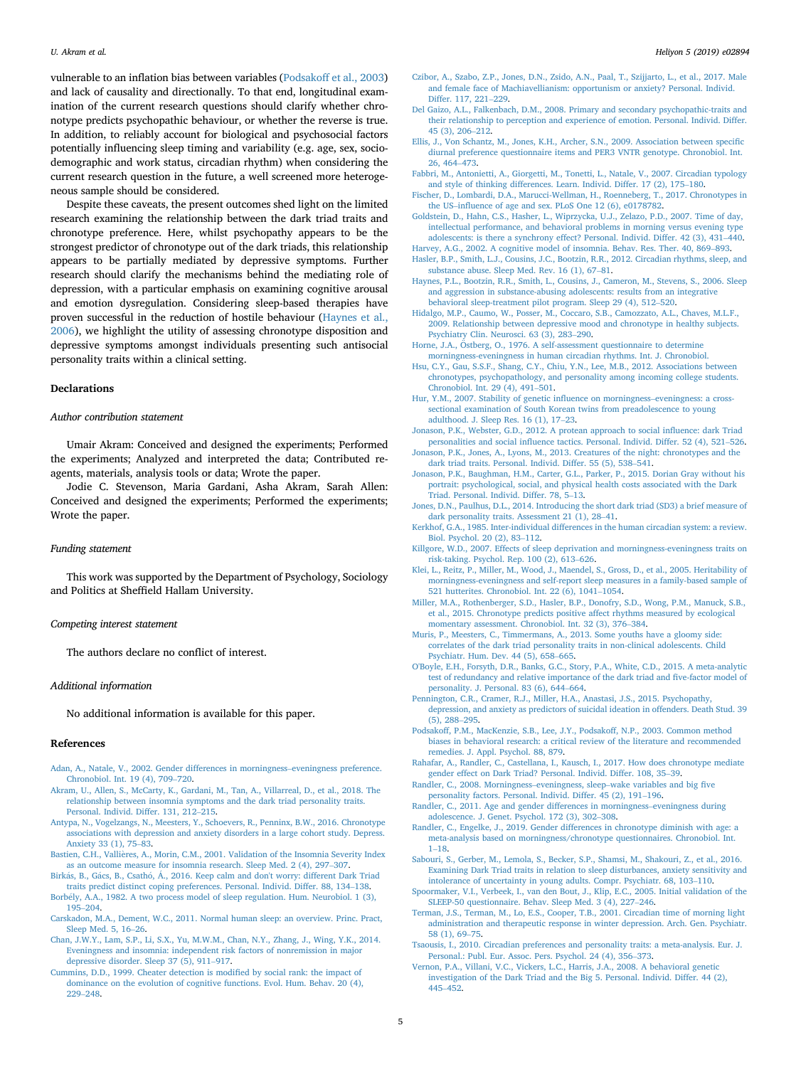<span id="page-4-0"></span>vulnerable to an inflation bias between variables (Podsakoff et al., 2003) and lack of causality and directionally. To that end, longitudinal examination of the current research questions should clarify whether chronotype predicts psychopathic behaviour, or whether the reverse is true. In addition, to reliably account for biological and psychosocial factors potentially influencing sleep timing and variability (e.g. age, sex, sociodemographic and work status, circadian rhythm) when considering the current research question in the future, a well screened more heterogeneous sample should be considered.

Despite these caveats, the present outcomes shed light on the limited research examining the relationship between the dark triad traits and chronotype preference. Here, whilst psychopathy appears to be the strongest predictor of chronotype out of the dark triads, this relationship appears to be partially mediated by depressive symptoms. Further research should clarify the mechanisms behind the mediating role of depression, with a particular emphasis on examining cognitive arousal and emotion dysregulation. Considering sleep-based therapies have proven successful in the reduction of hostile behaviour (Haynes et al., 2006), we highlight the utility of assessing chronotype disposition and depressive symptoms amongst individuals presenting such antisocial personality traits within a clinical setting.

#### Declarations

#### Author contribution statement

Umair Akram: Conceived and designed the experiments; Performed the experiments; Analyzed and interpreted the data; Contributed reagents, materials, analysis tools or data; Wrote the paper.

Jodie C. Stevenson, Maria Gardani, Asha Akram, Sarah Allen: Conceived and designed the experiments; Performed the experiments; Wrote the paper.

#### Funding statement

This work was supported by the Department of Psychology, Sociology and Politics at Sheffield Hallam University.

### Competing interest statement

The authors declare no conflict of interest.

#### Additional information

No additional information is available for this paper.

#### References

- [Adan, A., Natale, V., 2002. Gender differences in morningness](http://refhub.elsevier.com/S2405-8440(19)36553-3/sref1)–[eveningness preference.](http://refhub.elsevier.com/S2405-8440(19)36553-3/sref1) [Chronobiol. Int. 19 \(4\), 709](http://refhub.elsevier.com/S2405-8440(19)36553-3/sref1)–[720.](http://refhub.elsevier.com/S2405-8440(19)36553-3/sref1)
- [Akram, U., Allen, S., McCarty, K., Gardani, M., Tan, A., Villarreal, D., et al., 2018. The](http://refhub.elsevier.com/S2405-8440(19)36553-3/sref2) [relationship between insomnia symptoms and the dark triad personality traits.](http://refhub.elsevier.com/S2405-8440(19)36553-3/sref2) [Personal. Individ. Differ. 131, 212](http://refhub.elsevier.com/S2405-8440(19)36553-3/sref2)–[215](http://refhub.elsevier.com/S2405-8440(19)36553-3/sref2).
- [Antypa, N., Vogelzangs, N., Meesters, Y., Schoevers, R., Penninx, B.W., 2016. Chronotype](http://refhub.elsevier.com/S2405-8440(19)36553-3/sref3) [associations with depression and anxiety disorders in a large cohort study. Depress.](http://refhub.elsevier.com/S2405-8440(19)36553-3/sref3) [Anxiety 33 \(1\), 75](http://refhub.elsevier.com/S2405-8440(19)36553-3/sref3)–[83](http://refhub.elsevier.com/S2405-8440(19)36553-3/sref3).
- [Bastien, C.H., Valli](http://refhub.elsevier.com/S2405-8440(19)36553-3/sref4)ères, A., Morin, C.M., 2001. Validation of the Insomnia Severity Index [as an outcome measure for insomnia research. Sleep Med. 2 \(4\), 297](http://refhub.elsevier.com/S2405-8440(19)36553-3/sref4)–[307](http://refhub.elsevier.com/S2405-8440(19)36553-3/sref4).
- [Birk](http://refhub.elsevier.com/S2405-8440(19)36553-3/sref5)ás, B., Gács, B., Csathó, Á[., 2016. Keep calm and don't worry: different Dark Triad](http://refhub.elsevier.com/S2405-8440(19)36553-3/sref5) [traits predict distinct coping preferences. Personal. Individ. Differ. 88, 134](http://refhub.elsevier.com/S2405-8440(19)36553-3/sref5)–[138.](http://refhub.elsevier.com/S2405-8440(19)36553-3/sref5)
- [Borb](http://refhub.elsevier.com/S2405-8440(19)36553-3/sref6)[ely, A.A., 1982. A two process model of sleep regulation. Hum. Neurobiol. 1 \(3\),](http://refhub.elsevier.com/S2405-8440(19)36553-3/sref6) [195](http://refhub.elsevier.com/S2405-8440(19)36553-3/sref6)–[204](http://refhub.elsevier.com/S2405-8440(19)36553-3/sref6).
- [Carskadon, M.A., Dement, W.C., 2011. Normal human sleep: an overview. Princ. Pract,](http://refhub.elsevier.com/S2405-8440(19)36553-3/sref48) [Sleep Med. 5, 16](http://refhub.elsevier.com/S2405-8440(19)36553-3/sref48)–[26.](http://refhub.elsevier.com/S2405-8440(19)36553-3/sref48)
- [Chan, J.W.Y., Lam, S.P., Li, S.X., Yu, M.W.M., Chan, N.Y., Zhang, J., Wing, Y.K., 2014.](http://refhub.elsevier.com/S2405-8440(19)36553-3/sref8) [Eveningness and insomnia: independent risk factors of nonremission in major](http://refhub.elsevier.com/S2405-8440(19)36553-3/sref8) [depressive disorder. Sleep 37 \(5\), 911](http://refhub.elsevier.com/S2405-8440(19)36553-3/sref8)–[917](http://refhub.elsevier.com/S2405-8440(19)36553-3/sref8).
- [Cummins, D.D., 1999. Cheater detection is modi](http://refhub.elsevier.com/S2405-8440(19)36553-3/sref9)fied by social rank: the impact of [dominance on the evolution of cognitive functions. Evol. Hum. Behav. 20 \(4\),](http://refhub.elsevier.com/S2405-8440(19)36553-3/sref9) [229](http://refhub.elsevier.com/S2405-8440(19)36553-3/sref9)–[248](http://refhub.elsevier.com/S2405-8440(19)36553-3/sref9).
- [Czibor, A., Szabo, Z.P., Jones, D.N., Zsido, A.N., Paal, T., Szijjarto, L., et al., 2017. Male](http://refhub.elsevier.com/S2405-8440(19)36553-3/sref10) [and female face of Machiavellianism: opportunism or anxiety? Personal. Individ.](http://refhub.elsevier.com/S2405-8440(19)36553-3/sref10) [Differ. 117, 221](http://refhub.elsevier.com/S2405-8440(19)36553-3/sref10)–[229.](http://refhub.elsevier.com/S2405-8440(19)36553-3/sref10)
- [Del Gaizo, A.L., Falkenbach, D.M., 2008. Primary and secondary psychopathic-traits and](http://refhub.elsevier.com/S2405-8440(19)36553-3/sref11) [their relationship to perception and experience of emotion. Personal. Individ. Differ.](http://refhub.elsevier.com/S2405-8440(19)36553-3/sref11) [45 \(3\), 206](http://refhub.elsevier.com/S2405-8440(19)36553-3/sref11)–[212.](http://refhub.elsevier.com/S2405-8440(19)36553-3/sref11)
- [Ellis, J., Von Schantz, M., Jones, K.H., Archer, S.N., 2009. Association between speci](http://refhub.elsevier.com/S2405-8440(19)36553-3/sref12)fic [diurnal preference questionnaire items and PER3 VNTR genotype. Chronobiol. Int.](http://refhub.elsevier.com/S2405-8440(19)36553-3/sref12) [26, 464](http://refhub.elsevier.com/S2405-8440(19)36553-3/sref12)–[473](http://refhub.elsevier.com/S2405-8440(19)36553-3/sref12).
- [Fabbri, M., Antonietti, A., Giorgetti, M., Tonetti, L., Natale, V., 2007. Circadian typology](http://refhub.elsevier.com/S2405-8440(19)36553-3/sref13) [and style of thinking differences. Learn. Individ. Differ. 17 \(2\), 175](http://refhub.elsevier.com/S2405-8440(19)36553-3/sref13)–[180](http://refhub.elsevier.com/S2405-8440(19)36553-3/sref13).
- [Fischer, D., Lombardi, D.A., Marucci-Wellman, H., Roenneberg, T., 2017. Chronotypes in](http://refhub.elsevier.com/S2405-8440(19)36553-3/sref14) [the US](http://refhub.elsevier.com/S2405-8440(19)36553-3/sref14)–infl[uence of age and sex. PLoS One 12 \(6\), e0178782](http://refhub.elsevier.com/S2405-8440(19)36553-3/sref14).
- [Goldstein, D., Hahn, C.S., Hasher, L., Wiprzycka, U.J., Zelazo, P.D., 2007. Time of day,](http://refhub.elsevier.com/S2405-8440(19)36553-3/sref15) [intellectual performance, and behavioral problems in morning versus evening type](http://refhub.elsevier.com/S2405-8440(19)36553-3/sref15) [adolescents: is there a synchrony effect? Personal. Individ. Differ. 42 \(3\), 431](http://refhub.elsevier.com/S2405-8440(19)36553-3/sref15)–[440](http://refhub.elsevier.com/S2405-8440(19)36553-3/sref15). [Harvey, A.G., 2002. A cognitive model of insomnia. Behav. Res. Ther. 40, 869](http://refhub.elsevier.com/S2405-8440(19)36553-3/sref49)–[893.](http://refhub.elsevier.com/S2405-8440(19)36553-3/sref49)
- [Hasler, B.P., Smith, L.J., Cousins, J.C., Bootzin, R.R., 2012. Circadian rhythms, sleep, and](http://refhub.elsevier.com/S2405-8440(19)36553-3/sref16) [substance abuse. Sleep Med. Rev. 16 \(1\), 67](http://refhub.elsevier.com/S2405-8440(19)36553-3/sref16)–[81](http://refhub.elsevier.com/S2405-8440(19)36553-3/sref16).
- [Haynes, P.L., Bootzin, R.R., Smith, L., Cousins, J., Cameron, M., Stevens, S., 2006. Sleep](http://refhub.elsevier.com/S2405-8440(19)36553-3/sref17) [and aggression in substance-abusing adolescents: results from an integrative](http://refhub.elsevier.com/S2405-8440(19)36553-3/sref17) [behavioral sleep-treatment pilot program. Sleep 29 \(4\), 512](http://refhub.elsevier.com/S2405-8440(19)36553-3/sref17)–[520.](http://refhub.elsevier.com/S2405-8440(19)36553-3/sref17)
- [Hidalgo, M.P., Caumo, W., Posser, M., Coccaro, S.B., Camozzato, A.L., Chaves, M.L.F.,](http://refhub.elsevier.com/S2405-8440(19)36553-3/sref18) [2009. Relationship between depressive mood and chronotype in healthy subjects.](http://refhub.elsevier.com/S2405-8440(19)36553-3/sref18) [Psychiatry Clin. Neurosci. 63 \(3\), 283](http://refhub.elsevier.com/S2405-8440(19)36553-3/sref18)–[290.](http://refhub.elsevier.com/S2405-8440(19)36553-3/sref18)
- [Horne, J.A.,](http://refhub.elsevier.com/S2405-8440(19)36553-3/sref19) Östberg, O., 1976. A self-assessment questionnaire to determine [morningness-eveningness in human circadian rhythms. Int. J. Chronobiol.](http://refhub.elsevier.com/S2405-8440(19)36553-3/sref19)
- [Hsu, C.Y., Gau, S.S.F., Shang, C.Y., Chiu, Y.N., Lee, M.B., 2012. Associations between](http://refhub.elsevier.com/S2405-8440(19)36553-3/sref20) [chronotypes, psychopathology, and personality among incoming college students.](http://refhub.elsevier.com/S2405-8440(19)36553-3/sref20) [Chronobiol. Int. 29 \(4\), 491](http://refhub.elsevier.com/S2405-8440(19)36553-3/sref20)–[501.](http://refhub.elsevier.com/S2405-8440(19)36553-3/sref20)
- [Hur, Y.M., 2007. Stability of genetic in](http://refhub.elsevier.com/S2405-8440(19)36553-3/sref21)fluence on morningness–[eveningness: a cross](http://refhub.elsevier.com/S2405-8440(19)36553-3/sref21)[sectional examination of South Korean twins from preadolescence to young](http://refhub.elsevier.com/S2405-8440(19)36553-3/sref21) [adulthood. J. Sleep Res. 16 \(1\), 17](http://refhub.elsevier.com/S2405-8440(19)36553-3/sref21)–[23.](http://refhub.elsevier.com/S2405-8440(19)36553-3/sref21)
- [Jonason, P.K., Webster, G.D., 2012. A protean approach to social in](http://refhub.elsevier.com/S2405-8440(19)36553-3/sref22)fluence: dark Triad personalities and social infl[uence tactics. Personal. Individ. Differ. 52 \(4\), 521](http://refhub.elsevier.com/S2405-8440(19)36553-3/sref22)–[526.](http://refhub.elsevier.com/S2405-8440(19)36553-3/sref22)
- [Jonason, P.K., Jones, A., Lyons, M., 2013. Creatures of the night: chronotypes and the](http://refhub.elsevier.com/S2405-8440(19)36553-3/sref23) [dark triad traits. Personal. Individ. Differ. 55 \(5\), 538](http://refhub.elsevier.com/S2405-8440(19)36553-3/sref23)–[541.](http://refhub.elsevier.com/S2405-8440(19)36553-3/sref23)
- [Jonason, P.K., Baughman, H.M., Carter, G.L., Parker, P., 2015. Dorian Gray without his](http://refhub.elsevier.com/S2405-8440(19)36553-3/sref50) [portrait: psychological, social, and physical health costs associated with the Dark](http://refhub.elsevier.com/S2405-8440(19)36553-3/sref50) [Triad. Personal. Individ. Differ. 78, 5](http://refhub.elsevier.com/S2405-8440(19)36553-3/sref50)–[13.](http://refhub.elsevier.com/S2405-8440(19)36553-3/sref50)
- [Jones, D.N., Paulhus, D.L., 2014. Introducing the short dark triad \(SD3\) a brief measure of](http://refhub.elsevier.com/S2405-8440(19)36553-3/sref24) [dark personality traits. Assessment 21 \(1\), 28](http://refhub.elsevier.com/S2405-8440(19)36553-3/sref24)–[41.](http://refhub.elsevier.com/S2405-8440(19)36553-3/sref24)
- [Kerkhof, G.A., 1985. Inter-individual differences in the human circadian system: a review.](http://refhub.elsevier.com/S2405-8440(19)36553-3/sref25) [Biol. Psychol. 20 \(2\), 83](http://refhub.elsevier.com/S2405-8440(19)36553-3/sref25)–[112](http://refhub.elsevier.com/S2405-8440(19)36553-3/sref25).
- [Killgore, W.D., 2007. Effects of sleep deprivation and morningness-eveningness traits on](http://refhub.elsevier.com/S2405-8440(19)36553-3/sref26) [risk-taking. Psychol. Rep. 100 \(2\), 613](http://refhub.elsevier.com/S2405-8440(19)36553-3/sref26)–[626.](http://refhub.elsevier.com/S2405-8440(19)36553-3/sref26)
- [Klei, L., Reitz, P., Miller, M., Wood, J., Maendel, S., Gross, D., et al., 2005. Heritability of](http://refhub.elsevier.com/S2405-8440(19)36553-3/sref27) [morningness-eveningness and self-report sleep measures in a family-based sample of](http://refhub.elsevier.com/S2405-8440(19)36553-3/sref27) [521 hutterites. Chronobiol. Int. 22 \(6\), 1041](http://refhub.elsevier.com/S2405-8440(19)36553-3/sref27)–[1054](http://refhub.elsevier.com/S2405-8440(19)36553-3/sref27).
- [Miller, M.A., Rothenberger, S.D., Hasler, B.P., Donofry, S.D., Wong, P.M., Manuck, S.B.,](http://refhub.elsevier.com/S2405-8440(19)36553-3/sref28) [et al., 2015. Chronotype predicts positive affect rhythms measured by ecological](http://refhub.elsevier.com/S2405-8440(19)36553-3/sref28) [momentary assessment. Chronobiol. Int. 32 \(3\), 376](http://refhub.elsevier.com/S2405-8440(19)36553-3/sref28)–[384](http://refhub.elsevier.com/S2405-8440(19)36553-3/sref28).
- [Muris, P., Meesters, C., Timmermans, A., 2013. Some youths have a gloomy side:](http://refhub.elsevier.com/S2405-8440(19)36553-3/sref29) [correlates of the dark triad personality traits in non-clinical adolescents. Child](http://refhub.elsevier.com/S2405-8440(19)36553-3/sref29) [Psychiatr. Hum. Dev. 44 \(5\), 658](http://refhub.elsevier.com/S2405-8440(19)36553-3/sref29)–[665.](http://refhub.elsevier.com/S2405-8440(19)36553-3/sref29)
- [O'Boyle, E.H., Forsyth, D.R., Banks, G.C., Story, P.A., White, C.D., 2015. A meta-analytic](http://refhub.elsevier.com/S2405-8440(19)36553-3/sref30) [test of redundancy and relative importance of the dark triad and](http://refhub.elsevier.com/S2405-8440(19)36553-3/sref30) five-factor model of [personality. J. Personal. 83 \(6\), 644](http://refhub.elsevier.com/S2405-8440(19)36553-3/sref30)–[664](http://refhub.elsevier.com/S2405-8440(19)36553-3/sref30).
- [Pennington, C.R., Cramer, R.J., Miller, H.A., Anastasi, J.S., 2015. Psychopathy,](http://refhub.elsevier.com/S2405-8440(19)36553-3/sref31) [depression, and anxiety as predictors of suicidal ideation in offenders. Death Stud. 39](http://refhub.elsevier.com/S2405-8440(19)36553-3/sref31) [\(5\), 288](http://refhub.elsevier.com/S2405-8440(19)36553-3/sref31)–[295.](http://refhub.elsevier.com/S2405-8440(19)36553-3/sref31)
- [Podsakoff, P.M., MacKenzie, S.B., Lee, J.Y., Podsakoff, N.P., 2003. Common method](http://refhub.elsevier.com/S2405-8440(19)36553-3/sref32) [biases in behavioral research: a critical review of the literature and recommended](http://refhub.elsevier.com/S2405-8440(19)36553-3/sref32) [remedies. J. Appl. Psychol. 88, 879.](http://refhub.elsevier.com/S2405-8440(19)36553-3/sref32)
- [Rahafar, A., Randler, C., Castellana, I., Kausch, I., 2017. How does chronotype mediate](http://refhub.elsevier.com/S2405-8440(19)36553-3/sref33) [gender effect on Dark Triad? Personal. Individ. Differ. 108, 35](http://refhub.elsevier.com/S2405-8440(19)36553-3/sref33)–[39.](http://refhub.elsevier.com/S2405-8440(19)36553-3/sref33)
- [Randler, C., 2008. Morningness](http://refhub.elsevier.com/S2405-8440(19)36553-3/sref34)–[eveningness, sleep](http://refhub.elsevier.com/S2405-8440(19)36553-3/sref34)–[wake variables and big](http://refhub.elsevier.com/S2405-8440(19)36553-3/sref34) five [personality factors. Personal. Individ. Differ. 45 \(2\), 191](http://refhub.elsevier.com/S2405-8440(19)36553-3/sref34)–[196](http://refhub.elsevier.com/S2405-8440(19)36553-3/sref34).
- [Randler, C., 2011. Age and gender differences in morningness](http://refhub.elsevier.com/S2405-8440(19)36553-3/sref35)–[eveningness during](http://refhub.elsevier.com/S2405-8440(19)36553-3/sref35) [adolescence. J. Genet. Psychol. 172 \(3\), 302](http://refhub.elsevier.com/S2405-8440(19)36553-3/sref35)–[308](http://refhub.elsevier.com/S2405-8440(19)36553-3/sref35).
- [Randler, C., Engelke, J., 2019. Gender differences in chronotype diminish with age: a](http://refhub.elsevier.com/S2405-8440(19)36553-3/sref36) [meta-analysis based on morningness/chronotype questionnaires. Chronobiol. Int.](http://refhub.elsevier.com/S2405-8440(19)36553-3/sref36) [1](http://refhub.elsevier.com/S2405-8440(19)36553-3/sref36)–[18.](http://refhub.elsevier.com/S2405-8440(19)36553-3/sref36)
- [Sabouri, S., Gerber, M., Lemola, S., Becker, S.P., Shamsi, M., Shakouri, Z., et al., 2016.](http://refhub.elsevier.com/S2405-8440(19)36553-3/sref37) [Examining Dark Triad traits in relation to sleep disturbances, anxiety sensitivity and](http://refhub.elsevier.com/S2405-8440(19)36553-3/sref37) [intolerance of uncertainty in young adults. Compr. Psychiatr. 68, 103](http://refhub.elsevier.com/S2405-8440(19)36553-3/sref37)–[110.](http://refhub.elsevier.com/S2405-8440(19)36553-3/sref37)
- [Spoormaker, V.I., Verbeek, I., van den Bout, J., Klip, E.C., 2005. Initial validation of the](http://refhub.elsevier.com/S2405-8440(19)36553-3/sref38) [SLEEP-50 questionnaire. Behav. Sleep Med. 3 \(4\), 227](http://refhub.elsevier.com/S2405-8440(19)36553-3/sref38)–[246](http://refhub.elsevier.com/S2405-8440(19)36553-3/sref38).
- [Terman, J.S., Terman, M., Lo, E.S., Cooper, T.B., 2001. Circadian time of morning light](http://refhub.elsevier.com/S2405-8440(19)36553-3/sref39) [administration and therapeutic response in winter depression. Arch. Gen. Psychiatr.](http://refhub.elsevier.com/S2405-8440(19)36553-3/sref39) [58 \(1\), 69](http://refhub.elsevier.com/S2405-8440(19)36553-3/sref39)–[75.](http://refhub.elsevier.com/S2405-8440(19)36553-3/sref39)
- [Tsaousis, I., 2010. Circadian preferences and personality traits: a meta-analysis. Eur. J.](http://refhub.elsevier.com/S2405-8440(19)36553-3/sref40) [Personal.: Publ. Eur. Assoc. Pers. Psychol. 24 \(4\), 356](http://refhub.elsevier.com/S2405-8440(19)36553-3/sref40)–[373.](http://refhub.elsevier.com/S2405-8440(19)36553-3/sref40)
- [Vernon, P.A., Villani, V.C., Vickers, L.C., Harris, J.A., 2008. A behavioral genetic](http://refhub.elsevier.com/S2405-8440(19)36553-3/sref41) [investigation of the Dark Triad and the Big 5. Personal. Individ. Differ. 44 \(2\),](http://refhub.elsevier.com/S2405-8440(19)36553-3/sref41) [445](http://refhub.elsevier.com/S2405-8440(19)36553-3/sref41)–[452](http://refhub.elsevier.com/S2405-8440(19)36553-3/sref41).